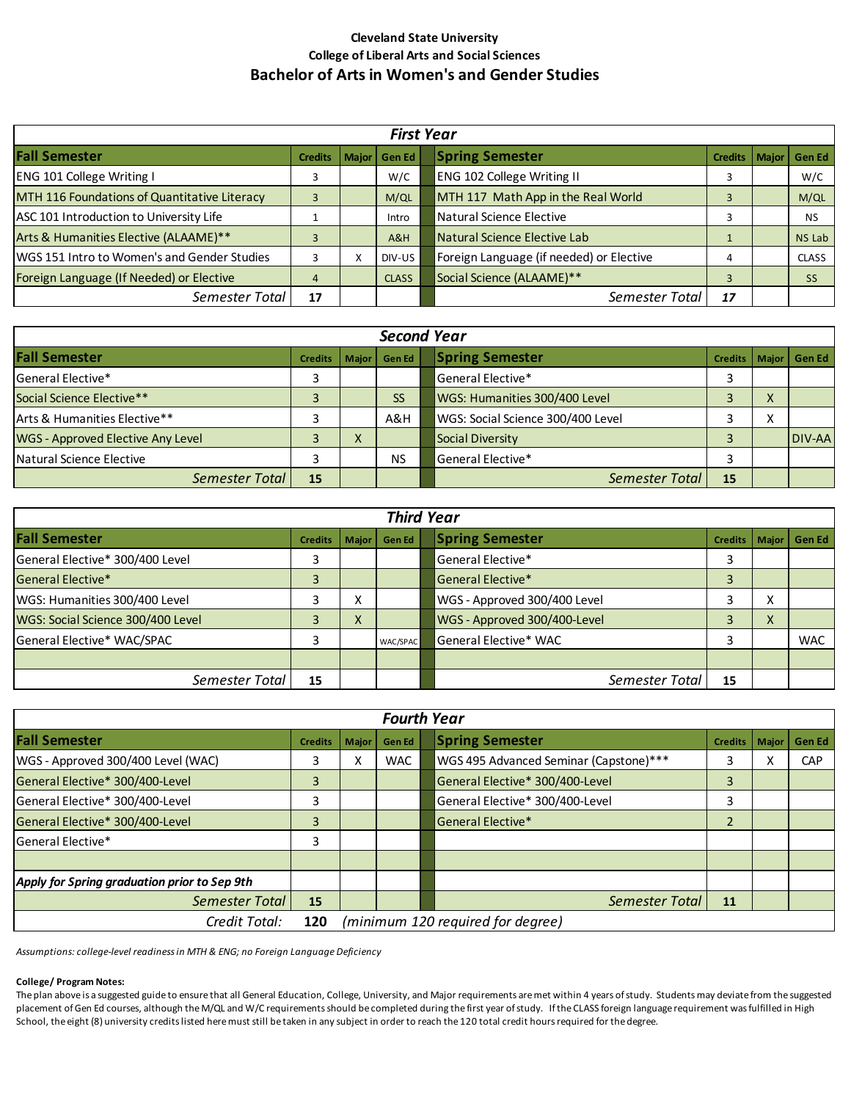## **Cleveland State University College of Liberal Arts and Social Sciences Bachelor of Arts in Women's and Gender Studies**

| <b>First Year</b>                            |                |   |                |  |                                          |                |              |               |
|----------------------------------------------|----------------|---|----------------|--|------------------------------------------|----------------|--------------|---------------|
| <b>Fall Semester</b>                         | <b>Credits</b> |   | Major   Gen Ed |  | <b>Spring Semester</b>                   | <b>Credits</b> | <b>Maior</b> | <b>Gen Ed</b> |
| <b>ENG 101 College Writing I</b>             | 3              |   | W/C            |  | <b>ENG 102 College Writing II</b>        |                |              | W/C           |
| MTH 116 Foundations of Quantitative Literacy |                |   | M/QL           |  | MTH 117 Math App in the Real World       | 3              |              | M/QL          |
| ASC 101 Introduction to University Life      |                |   | Intro          |  | Natural Science Elective                 |                |              | <b>NS</b>     |
| Arts & Humanities Elective (ALAAME)**        |                |   | A&H            |  | Natural Science Elective Lab             |                |              | NS Lab        |
| WGS 151 Intro to Women's and Gender Studies  |                | x | DIV-US         |  | Foreign Language (if needed) or Elective | 4              |              | <b>CLASS</b>  |
| Foreign Language (If Needed) or Elective     | 4              |   | <b>CLASS</b>   |  | Social Science (ALAAME)**                |                |              | <b>SS</b>     |
| Semester Total                               | 17             |   |                |  | Semester Total                           | 17             |              |               |

| <b>Second Year</b>                       |                |           |               |  |                                   |    |           |                          |
|------------------------------------------|----------------|-----------|---------------|--|-----------------------------------|----|-----------|--------------------------|
| <b>Fall Semester</b>                     | <b>Credits</b> | Maior I   | <b>Gen Ed</b> |  | <b>Spring Semester</b>            |    |           | Credits   Major   Gen Ed |
| General Elective*                        | 3              |           |               |  | <b>General Elective*</b>          |    |           |                          |
| Social Science Elective**                | 3              |           | <b>SS</b>     |  | WGS: Humanities 300/400 Level     |    | ∧         |                          |
| Arts & Humanities Elective**             |                |           | A&H           |  | WGS: Social Science 300/400 Level |    | $\lambda$ |                          |
| <b>WGS - Approved Elective Any Level</b> |                | $\lambda$ |               |  | Social Diversity                  |    |           | DIV-AA                   |
| Natural Science Elective                 |                |           | <b>NS</b>     |  | General Elective*                 |    |           |                          |
| Semester Total                           | 15             |           |               |  | Semester Total                    | 15 |           |                          |

| <b>Third Year</b>                 |                |   |                |  |                              |                |           |                |
|-----------------------------------|----------------|---|----------------|--|------------------------------|----------------|-----------|----------------|
| <b>Fall Semester</b>              | <b>Credits</b> |   | Major   Gen Ed |  | <b>Spring Semester</b>       | <b>Credits</b> |           | Major   Gen Ed |
| General Elective* 300/400 Level   | 3              |   |                |  | General Elective*            |                |           |                |
| General Elective*                 | 3              |   |                |  | <b>General Elective*</b>     |                |           |                |
| WGS: Humanities 300/400 Level     |                | ⋏ |                |  | WGS - Approved 300/400 Level |                | $\lambda$ |                |
| WGS: Social Science 300/400 Level |                | ∧ |                |  | WGS - Approved 300/400-Level |                | $\Lambda$ |                |
| General Elective* WAC/SPAC        | 3              |   | WAC/SPAC       |  | General Elective* WAC        |                |           | <b>WAC</b>     |
|                                   |                |   |                |  |                              |                |           |                |
| Semester Total                    | 15             |   |                |  | Semester Total               | 15             |           |                |

| <b>Fourth Year</b>                           |                                          |              |               |  |                                        |                |       |               |
|----------------------------------------------|------------------------------------------|--------------|---------------|--|----------------------------------------|----------------|-------|---------------|
| <b>Fall Semester</b>                         | <b>Credits</b>                           | <b>Major</b> | <b>Gen Ed</b> |  | <b>Spring Semester</b>                 | Credits        | Major | <b>Gen Ed</b> |
| WGS - Approved 300/400 Level (WAC)           | 3                                        | x            | <b>WAC</b>    |  | WGS 495 Advanced Seminar (Capstone)*** |                |       | <b>CAP</b>    |
| General Elective* 300/400-Level              | 3                                        |              |               |  | General Elective* 300/400-Level        | 3              |       |               |
| General Elective* 300/400-Level              | 3                                        |              |               |  | General Elective* 300/400-Level        | 3              |       |               |
| General Elective* 300/400-Level              | 3                                        |              |               |  | General Elective*                      | $\overline{2}$ |       |               |
| <b>General Elective*</b>                     | 3                                        |              |               |  |                                        |                |       |               |
|                                              |                                          |              |               |  |                                        |                |       |               |
| Apply for Spring graduation prior to Sep 9th |                                          |              |               |  |                                        |                |       |               |
| Semester Total                               | 15                                       |              |               |  | Semester Total                         | 11             |       |               |
| Credit Total:                                | (minimum 120 required for degree)<br>120 |              |               |  |                                        |                |       |               |

*Assumptions: college-level readiness in MTH & ENG; no Foreign Language Deficiency*

## **College/ Program Notes:**

The plan above is a suggested guide to ensure that all General Education, College, University, and Major requirements are met within 4 years of study. Students may deviate from the suggested placement of Gen Ed courses, although the M/QL and W/C requirements should be completed during the first year of study. If the CLASS foreign language requirement was fulfilled in High School, the eight (8) university credits listed here must still be taken in any subject in order to reach the 120 total credit hours required for the degree.